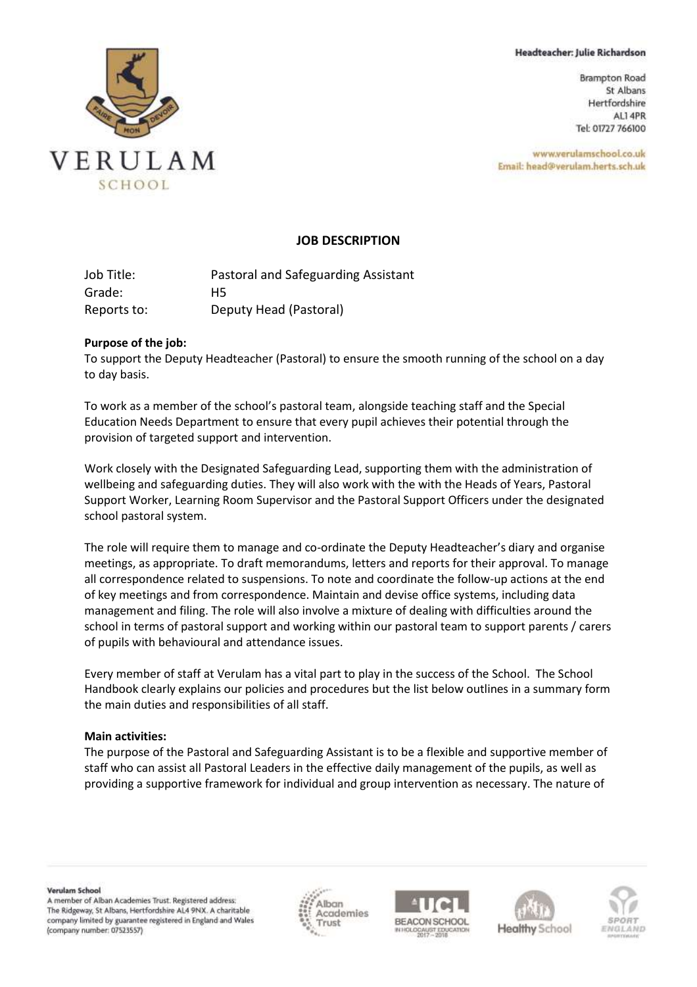#### Headteacher: Julie Richardson

**Brampton Road** St Albans Hertfordshire ALI 4PR Tel: 01727 766100

www.verulamschool.co.uk Email: head@verulam.herts.sch.uk



### **JOB DESCRIPTION**

Job Title: Pastoral and Safeguarding Assistant Grade: H5 Reports to: Deputy Head (Pastoral)

### **Purpose of the job:**

To support the Deputy Headteacher (Pastoral) to ensure the smooth running of the school on a day to day basis.

To work as a member of the school's pastoral team, alongside teaching staff and the Special Education Needs Department to ensure that every pupil achieves their potential through the provision of targeted support and intervention.

Work closely with the Designated Safeguarding Lead, supporting them with the administration of wellbeing and safeguarding duties. They will also work with the with the Heads of Years, Pastoral Support Worker, Learning Room Supervisor and the Pastoral Support Officers under the designated school pastoral system.

The role will require them to manage and co-ordinate the Deputy Headteacher's diary and organise meetings, as appropriate. To draft memorandums, letters and reports for their approval. To manage all correspondence related to suspensions. To note and coordinate the follow-up actions at the end of key meetings and from correspondence. Maintain and devise office systems, including data management and filing. The role will also involve a mixture of dealing with difficulties around the school in terms of pastoral support and working within our pastoral team to support parents / carers of pupils with behavioural and attendance issues.

Every member of staff at Verulam has a vital part to play in the success of the School. The School Handbook clearly explains our policies and procedures but the list below outlines in a summary form the main duties and responsibilities of all staff.

### **Main activities:**

The purpose of the Pastoral and Safeguarding Assistant is to be a flexible and supportive member of staff who can assist all Pastoral Leaders in the effective daily management of the pupils, as well as providing a supportive framework for individual and group intervention as necessary. The nature of

Verulam School A member of Alban Academies Trust. Registered address: The Ridgeway, St Albans, Hertfordshire AL4 9NX. A charitable company limited by guarantee registered in England and Wales (company number: 07523557)







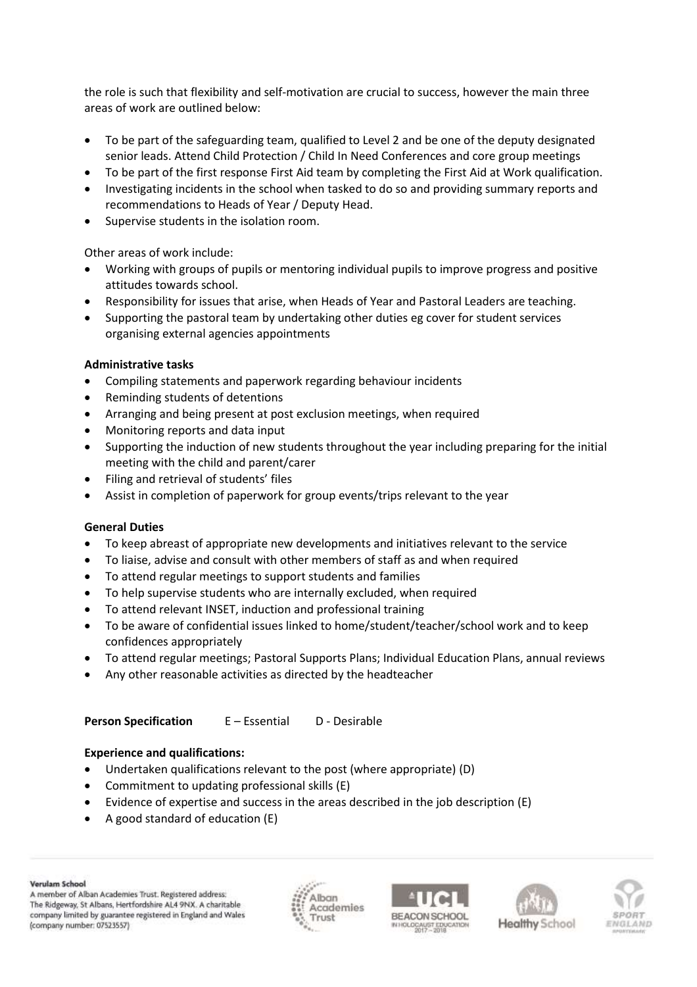the role is such that flexibility and self-motivation are crucial to success, however the main three areas of work are outlined below:

- To be part of the safeguarding team, qualified to Level 2 and be one of the deputy designated senior leads. Attend Child Protection / Child In Need Conferences and core group meetings
- To be part of the first response First Aid team by completing the First Aid at Work qualification.
- Investigating incidents in the school when tasked to do so and providing summary reports and recommendations to Heads of Year / Deputy Head.
- Supervise students in the isolation room.

Other areas of work include:

- Working with groups of pupils or mentoring individual pupils to improve progress and positive attitudes towards school.
- Responsibility for issues that arise, when Heads of Year and Pastoral Leaders are teaching.
- Supporting the pastoral team by undertaking other duties eg cover for student services organising external agencies appointments

# **Administrative tasks**

- Compiling statements and paperwork regarding behaviour incidents
- Reminding students of detentions
- Arranging and being present at post exclusion meetings, when required
- Monitoring reports and data input
- Supporting the induction of new students throughout the year including preparing for the initial meeting with the child and parent/carer
- Filing and retrieval of students' files
- Assist in completion of paperwork for group events/trips relevant to the year

## **General Duties**

- To keep abreast of appropriate new developments and initiatives relevant to the service
- To liaise, advise and consult with other members of staff as and when required
- To attend regular meetings to support students and families
- To help supervise students who are internally excluded, when required
- To attend relevant INSET, induction and professional training
- To be aware of confidential issues linked to home/student/teacher/school work and to keep confidences appropriately
- To attend regular meetings; Pastoral Supports Plans; Individual Education Plans, annual reviews
- Any other reasonable activities as directed by the headteacher

**Person Specification** E – Essential D - Desirable

## **Experience and qualifications:**

- Undertaken qualifications relevant to the post (where appropriate) (D)
- Commitment to updating professional skills (E)
- Evidence of expertise and success in the areas described in the job description (E)
- A good standard of education (E)

#### Verulam School

A member of Alban Academies Trust. Registered address: The Ridgeway, St Albans, Hertfordshire AL4 9NX. A charitable company limited by guarantee registered in England and Wales (company number: 07523557)







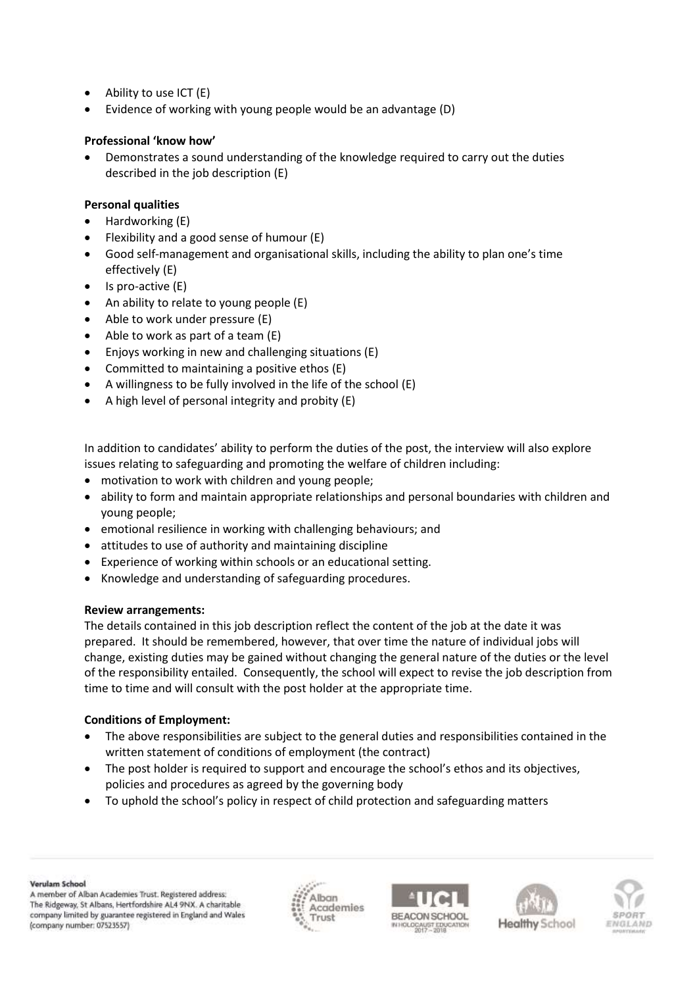- Ability to use ICT (E)
- Evidence of working with young people would be an advantage (D)

# **Professional 'know how'**

• Demonstrates a sound understanding of the knowledge required to carry out the duties described in the job description (E)

## **Personal qualities**

- Hardworking (E)
- Flexibility and a good sense of humour (E)
- Good self-management and organisational skills, including the ability to plan one's time effectively (E)
- Is pro-active (E)
- An ability to relate to young people (E)
- Able to work under pressure (E)
- Able to work as part of a team  $(E)$
- Enjoys working in new and challenging situations (E)
- Committed to maintaining a positive ethos (E)
- A willingness to be fully involved in the life of the school (E)
- A high level of personal integrity and probity (E)

In addition to candidates' ability to perform the duties of the post, the interview will also explore issues relating to safeguarding and promoting the welfare of children including:

- motivation to work with children and young people;
- ability to form and maintain appropriate relationships and personal boundaries with children and young people;
- emotional resilience in working with challenging behaviours; and
- attitudes to use of authority and maintaining discipline
- Experience of working within schools or an educational setting.
- Knowledge and understanding of safeguarding procedures.

## **Review arrangements:**

The details contained in this job description reflect the content of the job at the date it was prepared. It should be remembered, however, that over time the nature of individual jobs will change, existing duties may be gained without changing the general nature of the duties or the level of the responsibility entailed. Consequently, the school will expect to revise the job description from time to time and will consult with the post holder at the appropriate time.

## **Conditions of Employment:**

- The above responsibilities are subject to the general duties and responsibilities contained in the written statement of conditions of employment (the contract)
- The post holder is required to support and encourage the school's ethos and its objectives, policies and procedures as agreed by the governing body
- To uphold the school's policy in respect of child protection and safeguarding matters

Verulam School

A member of Alban Academies Trust. Registered address: The Ridgeway, St Albans, Hertfordshire AL4 9NX. A charitable company limited by guarantee registered in England and Wales (company number: 07523557)